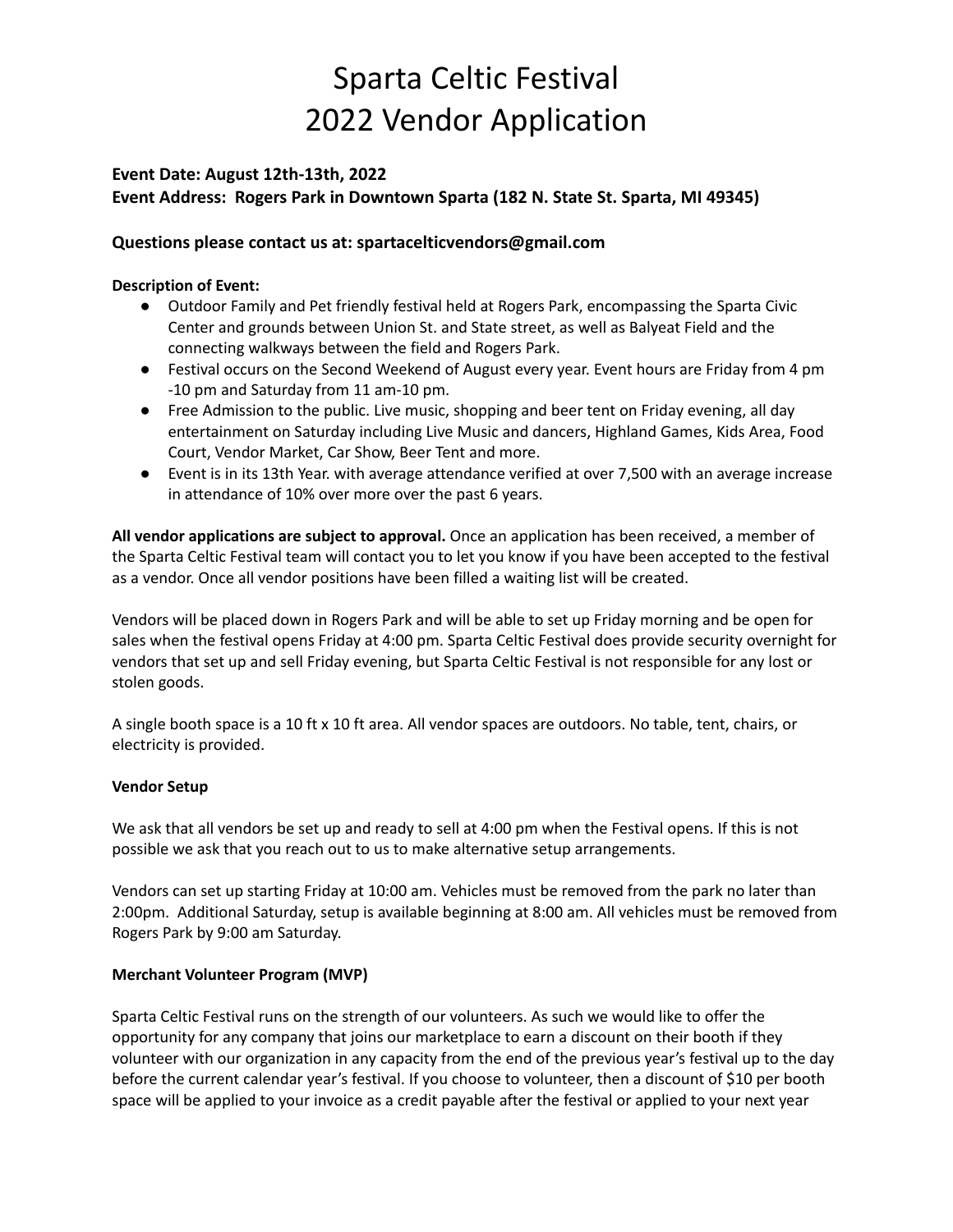### **Event Date: August 12th-13th, 2022 Event Address: Rogers Park in Downtown Sparta (182 N. State St. Sparta, MI 49345)**

#### **Questions please contact us at: spartacelticvendors@gmail.com**

#### **Description of Event:**

- Outdoor Family and Pet friendly festival held at Rogers Park, encompassing the Sparta Civic Center and grounds between Union St. and State street, as well as Balyeat Field and the connecting walkways between the field and Rogers Park.
- Festival occurs on the Second Weekend of August every year. Event hours are Friday from 4 pm -10 pm and Saturday from 11 am-10 pm.
- Free Admission to the public. Live music, shopping and beer tent on Friday evening, all day entertainment on Saturday including Live Music and dancers, Highland Games, Kids Area, Food Court, Vendor Market, Car Show, Beer Tent and more.
- Event is in its 13th Year. with average attendance verified at over 7,500 with an average increase in attendance of 10% over more over the past 6 years.

**All vendor applications are subject to approval.** Once an application has been received, a member of the Sparta Celtic Festival team will contact you to let you know if you have been accepted to the festival as a vendor. Once all vendor positions have been filled a waiting list will be created.

Vendors will be placed down in Rogers Park and will be able to set up Friday morning and be open for sales when the festival opens Friday at 4:00 pm. Sparta Celtic Festival does provide security overnight for vendors that set up and sell Friday evening, but Sparta Celtic Festival is not responsible for any lost or stolen goods.

A single booth space is a 10 ft x 10 ft area. All vendor spaces are outdoors. No table, tent, chairs, or electricity is provided.

#### **Vendor Setup**

We ask that all vendors be set up and ready to sell at 4:00 pm when the Festival opens. If this is not possible we ask that you reach out to us to make alternative setup arrangements.

Vendors can set up starting Friday at 10:00 am. Vehicles must be removed from the park no later than 2:00pm. Additional Saturday, setup is available beginning at 8:00 am. All vehicles must be removed from Rogers Park by 9:00 am Saturday.

#### **Merchant Volunteer Program (MVP)**

Sparta Celtic Festival runs on the strength of our volunteers. As such we would like to offer the opportunity for any company that joins our marketplace to earn a discount on their booth if they volunteer with our organization in any capacity from the end of the previous year's festival up to the day before the current calendar year's festival. If you choose to volunteer, then a discount of \$10 per booth space will be applied to your invoice as a credit payable after the festival or applied to your next year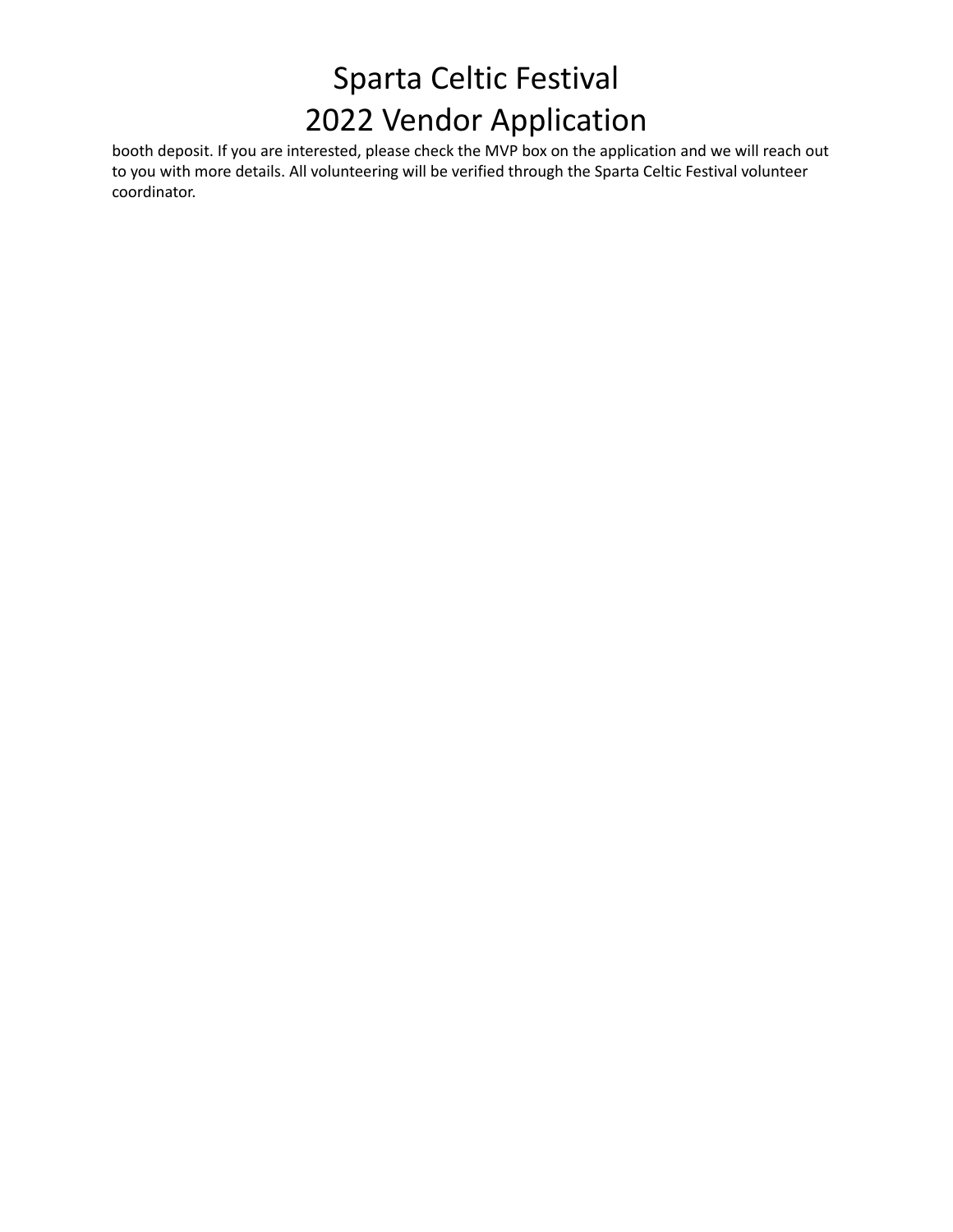booth deposit. If you are interested, please check the MVP box on the application and we will reach out to you with more details. All volunteering will be verified through the Sparta Celtic Festival volunteer coordinator.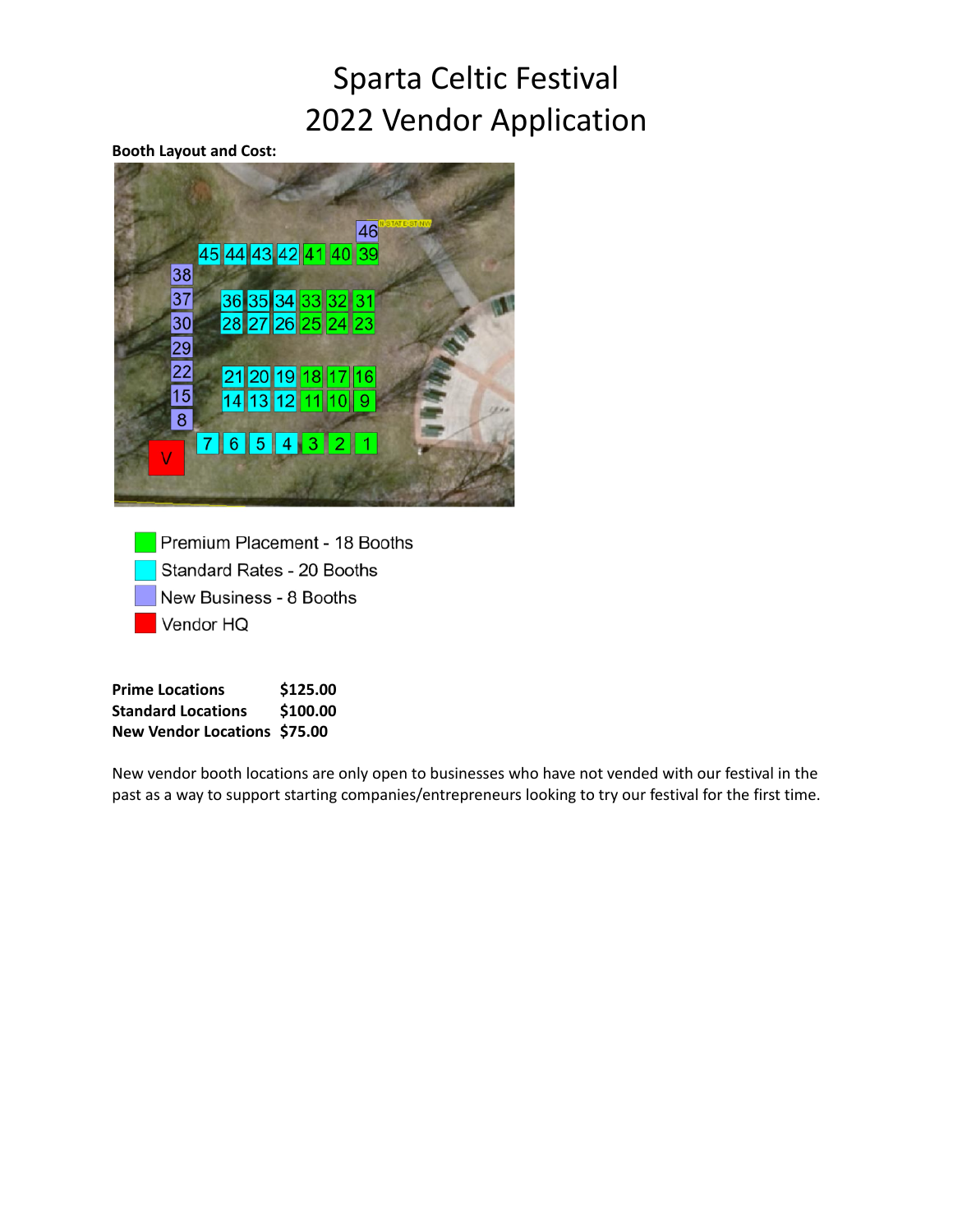#### **Booth Layout and Cost:**



Premium Placement - 18 Booths Standard Rates - 20 Booths New Business - 8 Booths Vendor HQ

**Prime Locations \$125.00 Standard Locations \$100.00 New Vendor Locations \$75.00**

New vendor booth locations are only open to businesses who have not vended with our festival in the past as a way to support starting companies/entrepreneurs looking to try our festival for the first time.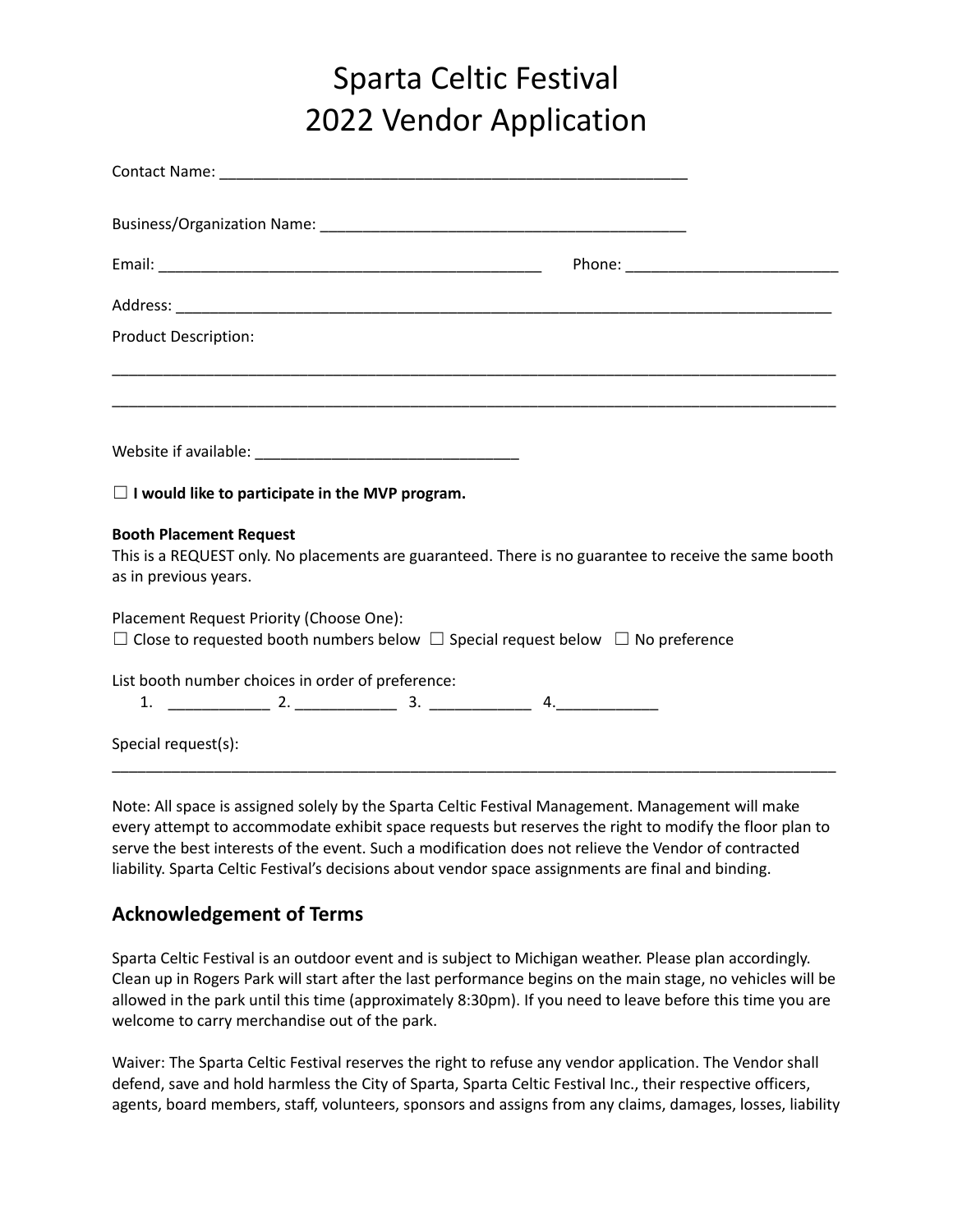| <b>Product Description:</b>                                                                                                                                      |  |
|------------------------------------------------------------------------------------------------------------------------------------------------------------------|--|
|                                                                                                                                                                  |  |
|                                                                                                                                                                  |  |
| $\Box$ I would like to participate in the MVP program.                                                                                                           |  |
| <b>Booth Placement Request</b><br>This is a REQUEST only. No placements are guaranteed. There is no guarantee to receive the same booth<br>as in previous years. |  |
| Placement Request Priority (Choose One):<br>$\Box$ Close to requested booth numbers below $\Box$ Special request below $\Box$ No preference                      |  |
| List booth number choices in order of preference:                                                                                                                |  |
| Special request(s):                                                                                                                                              |  |

Note: All space is assigned solely by the Sparta Celtic Festival Management. Management will make every attempt to accommodate exhibit space requests but reserves the right to modify the floor plan to serve the best interests of the event. Such a modification does not relieve the Vendor of contracted liability. Sparta Celtic Festival's decisions about vendor space assignments are final and binding.

### **Acknowledgement of Terms**

Sparta Celtic Festival is an outdoor event and is subject to Michigan weather. Please plan accordingly. Clean up in Rogers Park will start after the last performance begins on the main stage, no vehicles will be allowed in the park until this time (approximately 8:30pm). If you need to leave before this time you are welcome to carry merchandise out of the park.

Waiver: The Sparta Celtic Festival reserves the right to refuse any vendor application. The Vendor shall defend, save and hold harmless the City of Sparta, Sparta Celtic Festival Inc., their respective officers, agents, board members, staff, volunteers, sponsors and assigns from any claims, damages, losses, liability